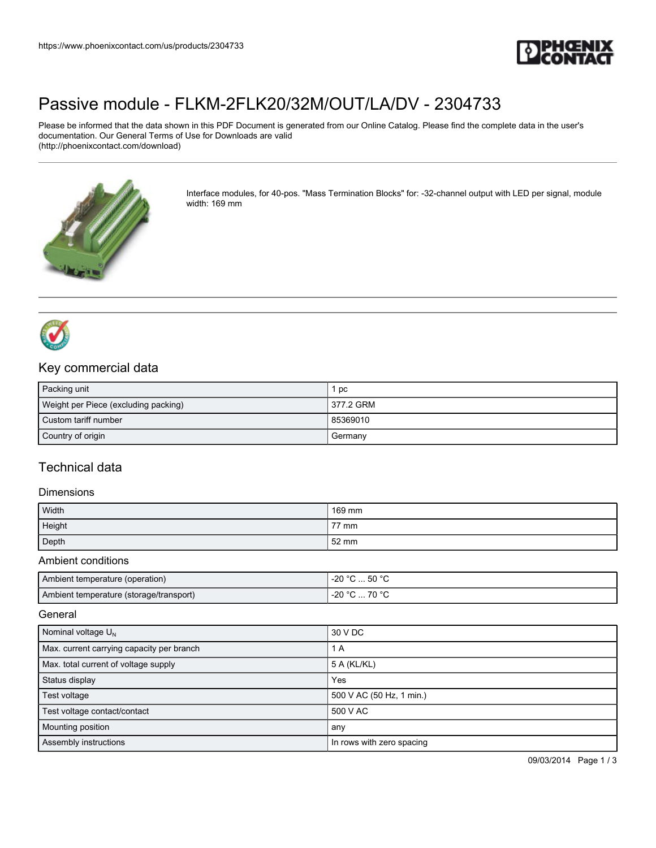

# [Passive module - FLKM-2FLK20/32M/OUT/LA/DV - 2304733](https://www.phoenixcontact.com/us/products/2304733)

Please be informed that the data shown in this PDF Document is generated from our Online Catalog. Please find the complete data in the user's documentation. Our General Terms of Use for Downloads are valid (http://phoenixcontact.com/download)



Interface modules, for 40-pos. "Mass Termination Blocks" for: -32-channel output with LED per signal, module width: 169 mm



## Key commercial data

| Packing unit                         | pc        |
|--------------------------------------|-----------|
| Weight per Piece (excluding packing) | 377.2 GRM |
| Custom tariff number                 | 85369010  |
| Country of origin                    | Germany   |

## Technical data

#### **Dimensions**

| Width  | 169 mm |
|--------|--------|
| Height | 77 mm  |
| Depth  | 52 mm  |

#### Ambient conditions

| Ambient temperature (operation)         | $^{\circ}$ C $$ 50 $^{\circ}$ C<br>-20 $^{\circ}$ C |
|-----------------------------------------|-----------------------------------------------------|
| Ambient temperature (storage/transport) | 70 °C<br>∩° ∩∩<br>-zu                               |

**General** 

| Nominal voltage $U_N$                     | 30 V DC                   |
|-------------------------------------------|---------------------------|
| Max. current carrying capacity per branch | 1 A                       |
| Max. total current of voltage supply      | 5 A (KL/KL)               |
| Status display                            | Yes                       |
| Test voltage                              | 500 V AC (50 Hz, 1 min.)  |
| Test voltage contact/contact              | 500 V AC                  |
| Mounting position                         | any                       |
| Assembly instructions                     | In rows with zero spacing |

09/03/2014 Page 1 / 3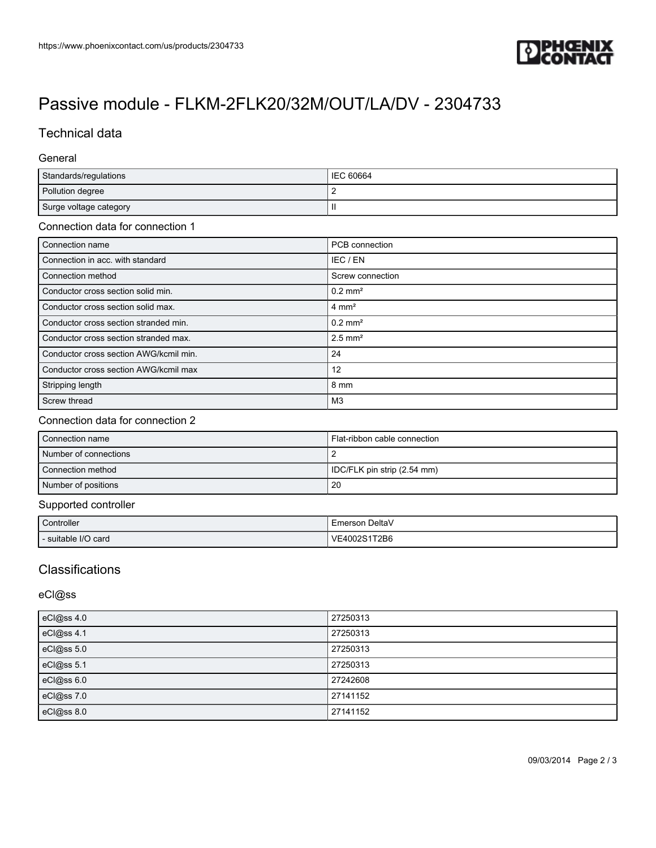

# [Passive module - FLKM-2FLK20/32M/OUT/LA/DV - 2304733](https://www.phoenixcontact.com/us/products/2304733)

## Technical data

### General

| Standards/regulations  | <b>IEC 60664</b> |
|------------------------|------------------|
| Pollution degree       |                  |
| Surge voltage category | Ш                |

#### Connection data for connection 1

| Connection name                        | PCB connection        |
|----------------------------------------|-----------------------|
| Connection in acc. with standard       | IEC / EN              |
| Connection method                      | Screw connection      |
| Conductor cross section solid min.     | $0.2$ mm <sup>2</sup> |
| Conductor cross section solid max.     | $4 \text{ mm}^2$      |
| Conductor cross section stranded min.  | $0.2$ mm <sup>2</sup> |
| Conductor cross section stranded max.  | $2.5$ mm <sup>2</sup> |
| Conductor cross section AWG/kcmil min. | 24                    |
| Conductor cross section AWG/kcmil max  | 12                    |
| Stripping length                       | 8 mm                  |
| Screw thread                           | M3                    |

### Connection data for connection 2

| Connection name       | Flat-ribbon cable connection |
|-----------------------|------------------------------|
| Number of connections |                              |
| Connection method     | IDC/FLK pin strip (2.54 mm)  |
| Number of positions   | 20                           |

### Supported controller

| Controller          | . DeltaV<br>Emerson |
|---------------------|---------------------|
| - suitable I/O card | 1T2B6<br>VE400      |

## **Classifications**

eCl@ss

| eCl@ss 4.0 | 27250313 |
|------------|----------|
| eCl@ss 4.1 | 27250313 |
| eCl@ss 5.0 | 27250313 |
| eCl@ss 5.1 | 27250313 |
| eCl@ss 6.0 | 27242608 |
| eCl@ss 7.0 | 27141152 |
| eCl@ss 8.0 | 27141152 |